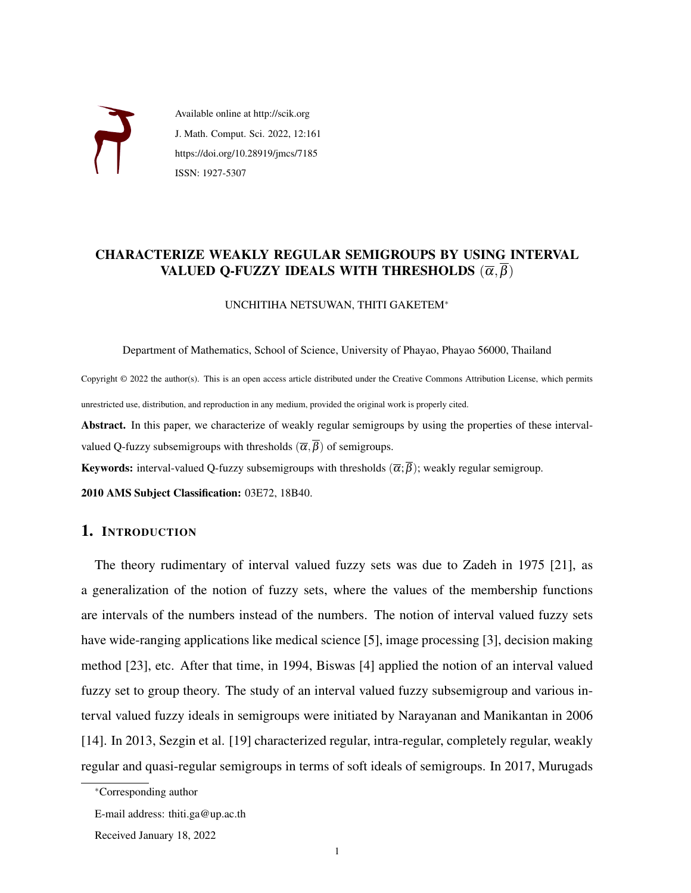

Available online at http://scik.org J. Math. Comput. Sci. 2022, 12:161 https://doi.org/10.28919/jmcs/7185 ISSN: 1927-5307

## CHARACTERIZE WEAKLY REGULAR SEMIGROUPS BY USING INTERVAL VALUED Q-FUZZY IDEALS WITH THRESHOLDS  $(\overline{\alpha}, \beta)$

UNCHITIHA NETSUWAN, THITI GAKETEM<sup>∗</sup>

Department of Mathematics, School of Science, University of Phayao, Phayao 56000, Thailand

Copyright © 2022 the author(s). This is an open access article distributed under the Creative Commons Attribution License, which permits unrestricted use, distribution, and reproduction in any medium, provided the original work is properly cited.

Abstract. In this paper, we characterize of weakly regular semigroups by using the properties of these intervalvalued Q-fuzzy subsemigroups with thresholds  $(\overline{\alpha}, \overline{\beta})$  of semigroups.

**Keywords:** interval-valued Q-fuzzy subsemigroups with thresholds  $(\overline{\alpha}; \overline{\beta})$ ; weakly regular semigroup.

2010 AMS Subject Classification: 03E72, 18B40.

## 1. INTRODUCTION

The theory rudimentary of interval valued fuzzy sets was due to Zadeh in 1975 [\[21\]](#page-11-0), as a generalization of the notion of fuzzy sets, where the values of the membership functions are intervals of the numbers instead of the numbers. The notion of interval valued fuzzy sets have wide-ranging applications like medical science [\[5\]](#page-10-0), image processing [\[3\]](#page-10-1), decision making method [\[23\]](#page-11-1), etc. After that time, in 1994, Biswas [\[4\]](#page-10-2) applied the notion of an interval valued fuzzy set to group theory. The study of an interval valued fuzzy subsemigroup and various interval valued fuzzy ideals in semigroups were initiated by Narayanan and Manikantan in 2006 [\[14\]](#page-11-2). In 2013, Sezgin et al. [\[19\]](#page-11-3) characterized regular, intra-regular, completely regular, weakly regular and quasi-regular semigroups in terms of soft ideals of semigroups. In 2017, Murugads

<sup>∗</sup>Corresponding author

E-mail address: thiti.ga@up.ac.th

Received January 18, 2022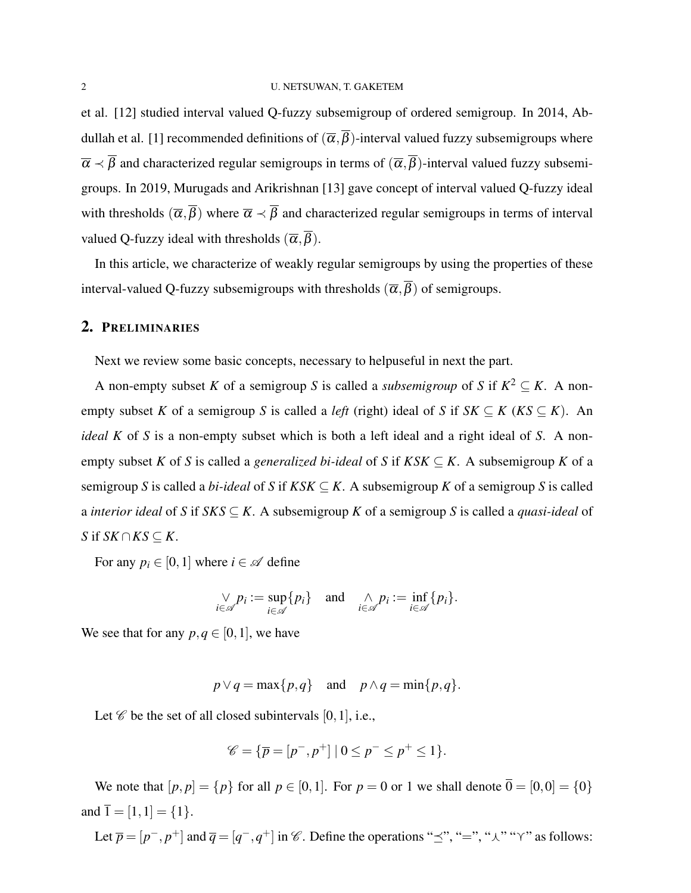et al. [\[12\]](#page-10-3) studied interval valued Q-fuzzy subsemigroup of ordered semigroup. In 2014, Ab-dullah et al. [\[1\]](#page-10-4) recommended definitions of  $(\overline{\alpha}, \overline{\beta})$ -interval valued fuzzy subsemigroups where  $\overline{\alpha} \prec \overline{\beta}$  and characterized regular semigroups in terms of  $(\overline{\alpha}, \overline{\beta})$ -interval valued fuzzy subsemigroups. In 2019, Murugads and Arikrishnan [\[13\]](#page-10-5) gave concept of interval valued Q-fuzzy ideal with thresholds  $(\overline{\alpha}, \overline{\beta})$  where  $\overline{\alpha} \prec \overline{\beta}$  and characterized regular semigroups in terms of interval valued Q-fuzzy ideal with thresholds  $(\overline{\alpha}, \overline{\beta})$ .

In this article, we characterize of weakly regular semigroups by using the properties of these interval-valued Q-fuzzy subsemigroups with thresholds  $(\overline{\alpha}, \overline{\beta})$  of semigroups.

### 2. PRELIMINARIES

Next we review some basic concepts, necessary to helpuseful in next the part.

A non-empty subset *K* of a semigroup *S* is called a *subsemigroup* of *S* if  $K^2 \subseteq K$ . A nonempty subset *K* of a semigroup *S* is called a *left* (right) ideal of *S* if  $SK \subseteq K$  ( $KS \subseteq K$ ). An *ideal K* of *S* is a non-empty subset which is both a left ideal and a right ideal of *S*. A nonempty subset *K* of *S* is called a *generalized bi-ideal* of *S* if  $KSK \subseteq K$ . A subsemigroup *K* of a semigroup *S* is called a *bi-ideal* of *S* if  $KSK \subseteq K$ . A subsemigroup *K* of a semigroup *S* is called a *interior ideal* of *S* if *SKS* ⊆ *K*. A subsemigroup *K* of a semigroup *S* is called a *quasi-ideal* of *S* if *SK* ∩ *KS*  $\subseteq$  *K*.

For any  $p_i \in [0,1]$  where  $i \in \mathcal{A}$  define

$$
\bigvee_{i\in\mathscr{A}}p_i:=\sup_{i\in\mathscr{A}}\{p_i\}\quad\text{and}\quad\bigwedge_{i\in\mathscr{A}}p_i:=\inf_{i\in\mathscr{A}}\{p_i\}.
$$

We see that for any  $p, q \in [0, 1]$ , we have

$$
p \lor q = \max\{p,q\}
$$
 and  $p \land q = \min\{p,q\}.$ 

Let  $\mathscr C$  be the set of all closed subintervals [0, 1], i.e.,

$$
\mathscr{C} = \{ \overline{p} = [p^-, p^+] \mid 0 \le p^- \le p^+ \le 1 \}.
$$

We note that  $[p, p] = \{p\}$  for all  $p \in [0, 1]$ . For  $p = 0$  or 1 we shall denote  $\overline{0} = [0, 0] = \{0\}$ and  $\bar{1} = [1, 1] = \{1\}.$ 

Let  $\overline{p} = [p^-, p^+]$  and  $\overline{q} = [q^-, q^+]$  in  $\mathscr{C}$ . Define the operations " $\preceq$ ", " $=$ ", " $\wedge$ " " $\vee$ " as follows: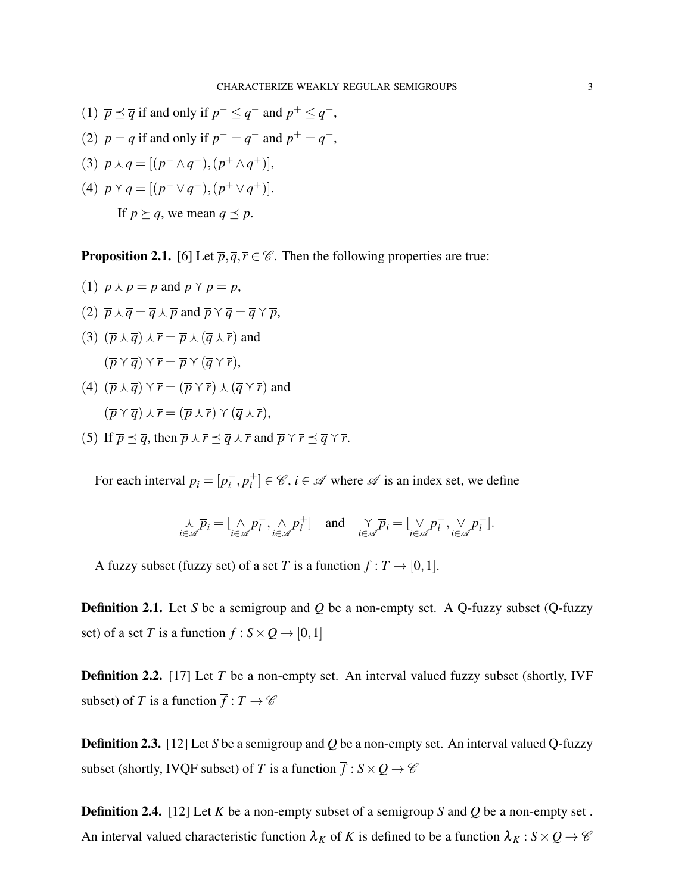- (1)  $\overline{p} \preceq \overline{q}$  if and only if  $p^- \leq q^-$  and  $p^+ \leq q^+$ ,
- (2)  $\overline{p} = \overline{q}$  if and only if  $p^- = q^-$  and  $p^+ = q^+$ ,
- (3)  $\overline{p} \wedge \overline{q} = [(p^- \wedge q^-), (p^+ \wedge q^+)],$
- (4)  $\overline{p} \vee \overline{q} = [(p^- \vee q^-), (p^+ \vee q^+)].$ If  $\overline{p} \succ \overline{q}$ , we mean  $\overline{q} \prec \overline{p}$ .

**Proposition 2.1.** [\[6\]](#page-10-6) Let  $\overline{p}, \overline{q}, \overline{r} \in \mathscr{C}$ . Then the following properties are true:

(1) 
$$
\overline{p} \wedge \overline{p} = \overline{p}
$$
 and  $\overline{p} \vee \overline{p} = \overline{p}$ ,  
\n(2)  $\overline{p} \wedge \overline{q} = \overline{q} \wedge \overline{p}$  and  $\overline{p} \vee \overline{q} = \overline{q} \vee \overline{p}$ ,  
\n(3)  $(\overline{p} \wedge \overline{q}) \wedge \overline{r} = \overline{p} \wedge (\overline{q} \wedge \overline{r})$  and  
\n $(\overline{p} \vee \overline{q}) \vee \overline{r} = \overline{p} \vee (\overline{q} \vee \overline{r})$ ,  
\n(4)  $(\overline{p} \wedge \overline{q}) \vee \overline{r} = (\overline{p} \vee \overline{r}) \wedge (\overline{q} \vee \overline{r})$  and

- $(\overline{p}\,\gamma\,\overline{q})\,\overline{\lambda}\,\overline{r} = (\overline{p}\,\overline{\lambda}\,\overline{r})\,\gamma\,(\overline{q}\,\overline{\lambda}\,\overline{r}),$
- (5) If  $\overline{p} \preceq \overline{q}$ , then  $\overline{p} \wedge \overline{r} \preceq \overline{q} \wedge \overline{r}$  and  $\overline{p} \vee \overline{r} \preceq \overline{q} \vee \overline{r}$ .

For each interval  $\overline{p}_i = [p_i^-]$  $\bar{i}$ ,  $p_i^+$  $i^+$  $\} \in \mathscr{C}$ ,  $i \in \mathscr{A}$  where  $\mathscr{A}$  is an index set, we define

$$
\underset{i \in \mathscr{A}}{\wedge} \overline{p}_i = [\underset{i \in \mathscr{A}}{\wedge} p_i^- , \underset{i \in \mathscr{A}}{\wedge} p_i^+ ] \text{ and } \underset{i \in \mathscr{A}}{\wedge} \overline{p}_i = [\underset{i \in \mathscr{A}}{\vee} p_i^- , \underset{i \in \mathscr{A}}{\vee} p_i^+ ].
$$

A fuzzy subset (fuzzy set) of a set *T* is a function  $f: T \rightarrow [0,1]$ .

Definition 2.1. Let *S* be a semigroup and *Q* be a non-empty set. A Q-fuzzy subset (Q-fuzzy set) of a set *T* is a function  $f : S \times Q \rightarrow [0,1]$ 

**Definition 2.2.** [\[17\]](#page-11-4) Let *T* be a non-empty set. An interval valued fuzzy subset (shortly, IVF subset) of *T* is a function  $\overline{f} : T \to \mathscr{C}$ 

Definition 2.3. [\[12\]](#page-10-3) Let *S* be a semigroup and *Q* be a non-empty set. An interval valued Q-fuzzy subset (shortly, IVQF subset) of *T* is a function  $\overline{f}$  :  $S \times Q \rightarrow \mathscr{C}$ 

Definition 2.4. [\[12\]](#page-10-3) Let *K* be a non-empty subset of a semigroup *S* and *Q* be a non-empty set . An interval valued characteristic function  $\overline{\lambda}_K$  of *K* is defined to be a function  $\overline{\lambda}_K$ :  $S \times Q \to C$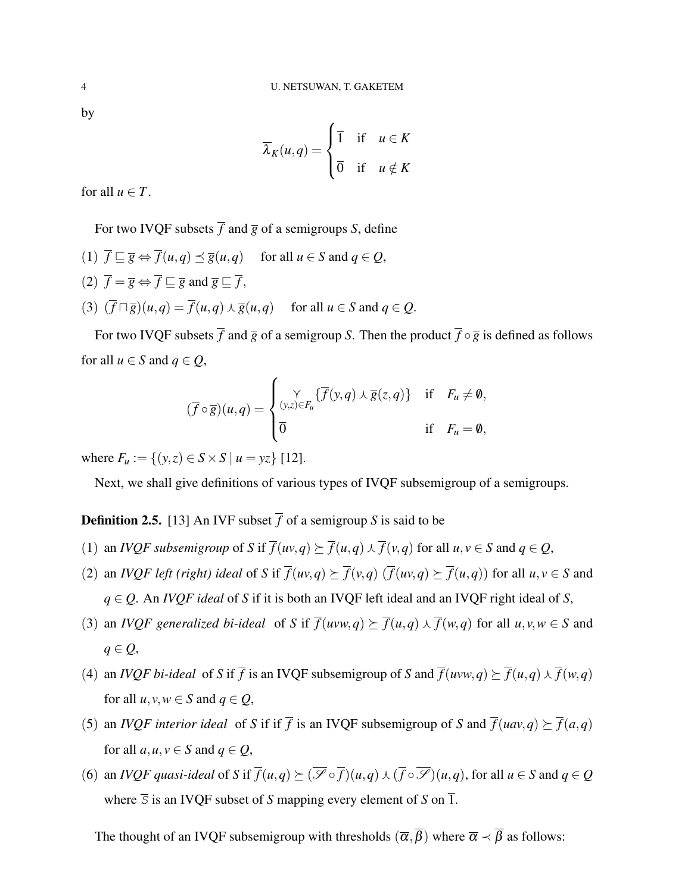by

$$
\overline{\lambda}_K(u,q) = \begin{cases} \overline{1} & \text{if } u \in K \\ \overline{0} & \text{if } u \notin K \end{cases}
$$

for all  $u \in T$ .

For two IVQF subsets  $\overline{f}$  and  $\overline{g}$  of a semigroups *S*, define

(1)  $\overline{f} \sqsubseteq \overline{g} \Leftrightarrow \overline{f}(u,q) \preceq \overline{g}(u,q)$  for all  $u \in S$  and  $q \in Q$ , (2)  $\overline{f} = \overline{g} \Leftrightarrow \overline{f} \sqsubset \overline{g}$  and  $\overline{g} \sqsubset \overline{f}$ ,  $(3)$   $(\overline{f} \sqcap \overline{g})(u,q) = \overline{f}(u,q) \wedge \overline{g}(u,q)$  for all  $u \in S$  and  $q \in Q$ .

For two IVQF subsets  $\overline{f}$  and  $\overline{g}$  of a semigroup *S*. Then the product  $\overline{f} \circ \overline{g}$  is defined as follows for all  $u \in S$  and  $q \in Q$ ,

$$
(\overline{f} \circ \overline{g})(u,q) = \begin{cases} \gamma \quad \text{if } F_u \neq \emptyset, \\ (y,z) \in F_u \end{cases}
$$
  
0  
if  $F_u = \emptyset$ ,  
if  $F_u = \emptyset$ ,

where  $F_u := \{(y, z) \in S \times S \mid u = yz\}$  [\[12\]](#page-10-3).

Next, we shall give definitions of various types of IVQF subsemigroup of a semigroups.

## **Definition 2.5.** [\[13\]](#page-10-5) An IVF subset  $\overline{f}$  of a semigroup *S* is said to be

- (1) an *IVQF subsemigroup* of *S* if  $\overline{f}(uv,q) \succeq \overline{f}(u,q) \wedge \overline{f}(v,q)$  for all  $u, v \in S$  and  $q \in Q$ ,
- (2) an *IVQF left (right) ideal* of *S* if  $\overline{f}(uv,q) \succeq \overline{f}(v,q)$  ( $\overline{f}(uv,q) \succeq \overline{f}(u,q)$ ) for all  $u, v \in S$  and *q* ∈ *Q*. An *IVQF ideal* of *S* if it is both an IVQF left ideal and an IVQF right ideal of *S*,
- (3) an *IVQF generalized bi-ideal* of *S* if  $\overline{f}(uvw, q) \succeq \overline{f}(u, q) \wedge \overline{f}(w, q)$  for all  $u, v, w \in S$  and *q* ∈ *Q*,
- (4) an *IVQF bi-ideal* of *S* if  $\overline{f}$  is an IVQF subsemigroup of *S* and  $\overline{f}(uvw, q) \succeq \overline{f}(u, q) \wedge \overline{f}(w, q)$ for all  $u, v, w \in S$  and  $q \in Q$ ,
- (5) an *IVQF interior ideal* of *S* if if  $\overline{f}$  is an IVQF subsemigroup of *S* and  $\overline{f}(uav,q) \succeq \overline{f}(a,q)$ for all  $a, u, v \in S$  and  $q \in Q$ ,
- (6) an *IVQF quasi-ideal* of *S* if  $\overline{f}(u,q) \succeq (\overline{\mathscr{S}} \circ \overline{f})(u,q) \wedge (\overline{f} \circ \overline{\mathscr{S}})(u,q)$ , for all  $u \in S$  and  $q \in Q$ where  $\overline{S}$  is an IVQF subset of *S* mapping every element of *S* on  $\overline{1}$ .

The thought of an IVQF subsemigroup with thresholds  $(\overline{\alpha}, \overline{\beta})$  where  $\overline{\alpha} \prec \overline{\beta}$  as follows: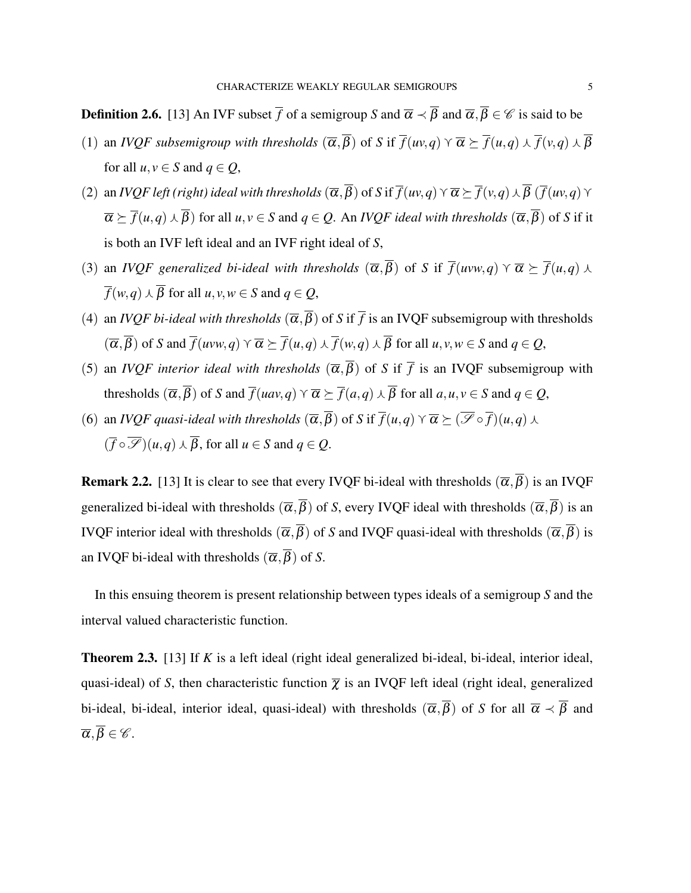**Definition 2.6.** [\[13\]](#page-10-5) An IVF subset  $\overline{f}$  of a semigroup *S* and  $\overline{\alpha} \prec \overline{\beta}$  and  $\overline{\alpha}, \overline{\beta} \in \mathscr{C}$  is said to be

- (1) an *IVQF* subsemigroup with thresholds  $(\overline{\alpha}, \overline{\beta})$  of *S* if  $\overline{f}(uv, q) \vee \overline{\alpha} \succ \overline{f}(u, q) \wedge \overline{f}(v, q) \wedge \overline{\beta}$ for all  $u, v \in S$  and  $q \in Q$ ,
- (2) an *IVQF left (right) ideal with thresholds*  $(\overline{\alpha}, \overline{\beta})$  of *S* if  $\overline{f}(uv, q) \vee \overline{\alpha} \succeq \overline{f}(v, q) \wedge \overline{\beta}$  ( $\overline{f}(uv, q) \vee \overline{\beta}$ )  $\overline{\alpha} \succeq \overline{f}(u,q) \wedge \overline{\beta}$  for all  $u, v \in S$  and  $q \in Q$ . An *IVQF ideal with thresholds*  $(\overline{\alpha}, \overline{\beta})$  of *S* if it is both an IVF left ideal and an IVF right ideal of *S*,
- (3) an *IVQF generalized bi-ideal with thresholds*  $(\overline{\alpha}, \overline{\beta})$  of *S* if  $\overline{f}(uvw, q) \vee \overline{\alpha} \geq \overline{f}(u, q) \vee \overline{\beta}$  $\overline{f}(w, q) \wedge \overline{B}$  for all *u*, *v*,  $w \in S$  and  $q \in Q$ ,
- (4) an *IVQF bi-ideal with thresholds*  $(\overline{\alpha}, \overline{\beta})$  of *S* if  $\overline{f}$  is an IVQF subsemigroup with thresholds  $(\overline{\alpha}, \overline{\beta})$  of *S* and  $\overline{f}(uvw, q) \vee \overline{\alpha} \geq \overline{f}(u, q) \wedge \overline{f}(w, q) \wedge \overline{\beta}$  for all  $u, v, w \in S$  and  $q \in Q$ ,
- (5) an *IVQF interior ideal with thresholds*  $(\overline{\alpha}, \overline{\beta})$  of *S* if  $\overline{f}$  is an IVQF subsemigroup with thresholds  $(\overline{\alpha}, \overline{\beta})$  of *S* and  $\overline{f}(uav, q) \vee \overline{\alpha} \succeq \overline{f}(a,q) \wedge \overline{\beta}$  for all  $a, u, v \in S$  and  $q \in Q$ ,
- (6) an *IVQF quasi-ideal with thresholds*  $(\overline{\alpha}, \overline{\beta})$  of *S* if  $\overline{f}(u,q) \vee \overline{\alpha} \succeq (\overline{\mathscr{S}} \circ \overline{f})(u,q) \wedge$  $(\overline{f} \circ \overline{\mathscr{S}})(u,q) \wedge \overline{\beta}$ , for all  $u \in S$  and  $q \in Q$ .

**Remark 2.2.** [\[13\]](#page-10-5) It is clear to see that every IVQF bi-ideal with thresholds  $(\overline{\alpha}, \overline{\beta})$  is an IVQF generalized bi-ideal with thresholds  $(\overline{\alpha}, \overline{\beta})$  of *S*, every IVQF ideal with thresholds  $(\overline{\alpha}, \overline{\beta})$  is an IVQF interior ideal with thresholds  $(\overline{\alpha}, \overline{\beta})$  of *S* and IVQF quasi-ideal with thresholds  $(\overline{\alpha}, \overline{\beta})$  is an IVQF bi-ideal with thresholds  $(\overline{\alpha}, \overline{\beta})$  of *S*.

In this ensuing theorem is present relationship between types ideals of a semigroup *S* and the interval valued characteristic function.

<span id="page-4-0"></span>Theorem 2.3. [\[13\]](#page-10-5) If *K* is a left ideal (right ideal generalized bi-ideal, bi-ideal, interior ideal, quasi-ideal) of *S*, then characteristic function  $\bar{\chi}$  is an IVQF left ideal (right ideal, generalized bi-ideal, bi-ideal, interior ideal, quasi-ideal) with thresholds  $(\overline{\alpha}, \overline{\beta})$  of *S* for all  $\overline{\alpha} \prec \overline{\beta}$  and  $\overline{\alpha}, \overline{\beta} \in \mathscr{C}$ .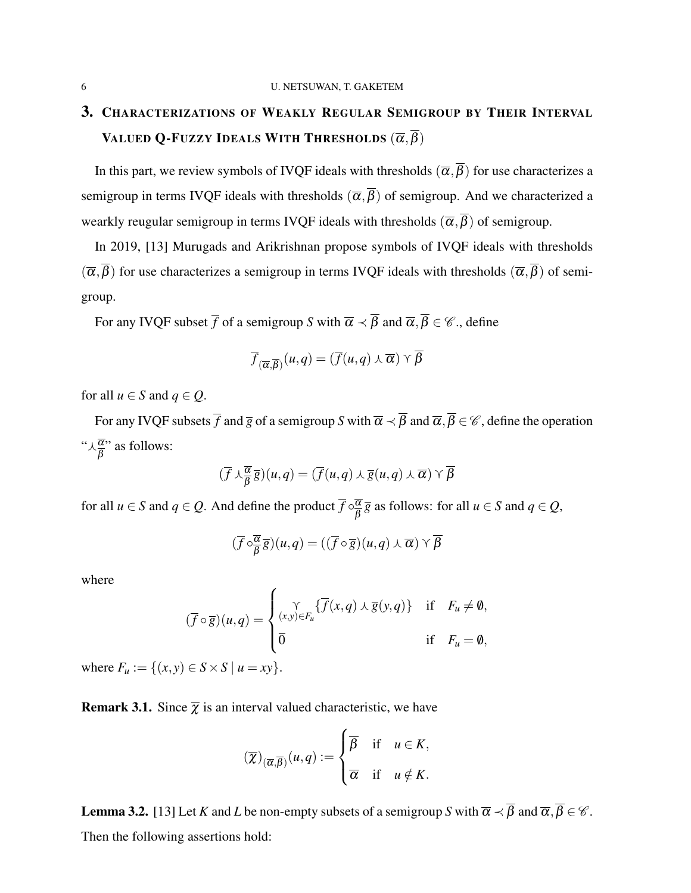# 3. CHARACTERIZATIONS OF WEAKLY REGULAR SEMIGROUP BY THEIR INTERVAL VALUED Q-FUZZY IDEALS WITH THRESHOLDS  $(\overline{\alpha},\overline{\beta})$

In this part, we review symbols of IVQF ideals with thresholds  $(\overline{\alpha}, \overline{\beta})$  for use characterizes a semigroup in terms IVQF ideals with thresholds  $(\overline{\alpha}, \overline{\beta})$  of semigroup. And we characterized a wearkly reugular semigroup in terms IVQF ideals with thresholds  $(\overline{\alpha}, \overline{\beta})$  of semigroup.

In 2019, [\[13\]](#page-10-5) Murugads and Arikrishnan propose symbols of IVQF ideals with thresholds  $(\overline{\alpha},\overline{\beta})$  for use characterizes a semigroup in terms IVQF ideals with thresholds  $(\overline{\alpha},\overline{\beta})$  of semigroup.

For any IVQF subset  $\overline{f}$  of a semigroup *S* with  $\overline{\alpha} \prec \overline{\beta}$  and  $\overline{\alpha}, \overline{\beta} \in \mathscr{C}$ ., define

$$
\overline{f}_{(\overline{\alpha},\overline{\beta})}(u,q)=(\overline{f}(u,q)\wedge\overline{\alpha})\wedge\overline{\beta}
$$

for all  $u \in S$  and  $q \in Q$ .

For any IVQF subsets  $\overline{f}$  and  $\overline{g}$  of a semigroup *S* with  $\overline{\alpha} \prec \overline{\beta}$  and  $\overline{\alpha}, \overline{\beta} \in \mathscr{C}$ , define the operation " $\lambda \frac{\overline{\alpha}}{\beta}$ " as follows:

$$
(\overline{f} \wedge \frac{\overline{\alpha}}{\overline{\beta}} \overline{g})(u,q) = (\overline{f}(u,q) \wedge \overline{g}(u,q) \wedge \overline{\alpha}) \vee \overline{\beta}
$$

for all  $u \in S$  and  $q \in Q$ . And define the product  $\overline{f} \circ \frac{\overline{\alpha}}{a}$  $\frac{\alpha}{\beta}$   $\overline{g}$  as follows: for all  $u \in S$  and  $q \in Q$ ,

$$
(\overline{f} \circ \overline{\frac{\alpha}{\beta}} \overline{g})(u,q) = ((\overline{f} \circ \overline{g})(u,q) \wedge \overline{\alpha}) \vee \overline{\beta}
$$

where

$$
(\overline{f} \circ \overline{g})(u,q) = \begin{cases} \gamma \\ (x,y) \in F_u \{ \overline{f}(x,q) \wedge \overline{g}(y,q) \} & \text{if } F_u \neq \emptyset, \\ \overline{0} & \text{if } F_u = \emptyset, \end{cases}
$$

where  $F_u := \{(x, y) \in S \times S \mid u = xy\}.$ 

**Remark 3.1.** Since  $\overline{\chi}$  is an interval valued characteristic, we have

$$
(\overline{\chi})_{(\overline{\alpha},\overline{\beta})}(u,q) := \begin{cases} \overline{\beta} & \text{if } u \in K, \\ \overline{\alpha} & \text{if } u \notin K. \end{cases}
$$

<span id="page-5-0"></span>**Lemma 3.2.** [\[13\]](#page-10-5) Let *K* and *L* be non-empty subsets of a semigroup *S* with  $\overline{\alpha} \prec \overline{\beta}$  and  $\overline{\alpha}, \overline{\beta} \in \mathscr{C}$ . Then the following assertions hold: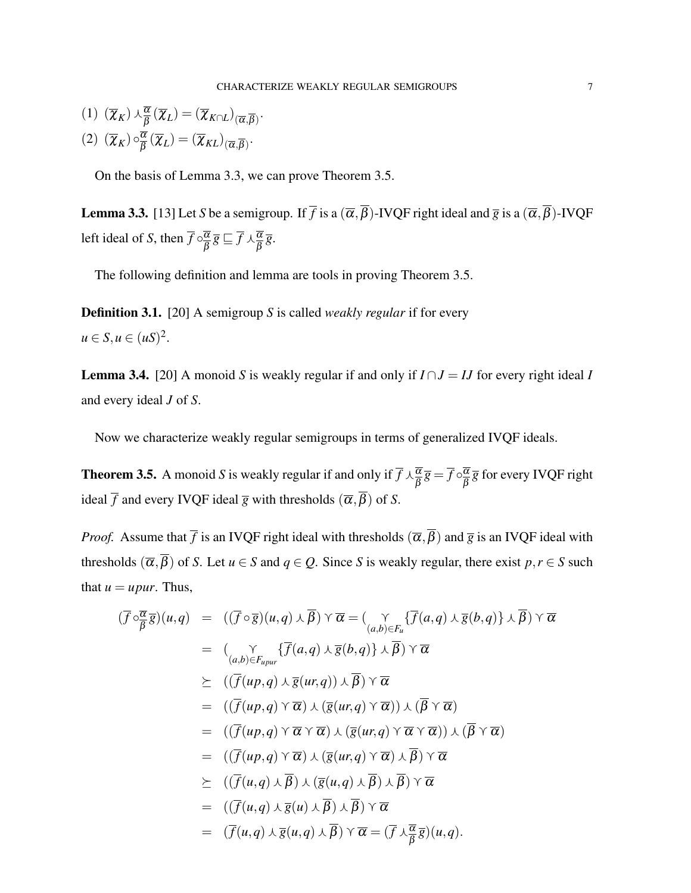$$
(1) \ (\overline{\chi}_K) \wedge \frac{\overline{\alpha}}{\overline{\beta}} (\overline{\chi}_L) = (\overline{\chi}_{K \cap L})_{(\overline{\alpha}, \overline{\beta})}.
$$

$$
(2) (\overline{\chi}_K) \circ \frac{\overline{\alpha}}{\overline{\beta}} (\overline{\chi}_L) = (\overline{\chi}_{KL})_{(\overline{\alpha}, \overline{\beta})}.
$$

On the basis of Lemma [3.3,](#page-6-0) we can prove Theorem [3.5.](#page-6-1)

<span id="page-6-0"></span>**Lemma 3.3.** [\[13\]](#page-10-5) Let *S* be a semigroup. If  $\overline{f}$  is a  $(\overline{\alpha}, \overline{\beta})$ -IVQF right ideal and  $\overline{g}$  is a  $(\overline{\alpha}, \overline{\beta})$ -IVQF left ideal of *S*, then  $\overline{f} \circ \frac{\overline{\alpha}}{a}$  $\overline{\frac{\alpha}{\beta}}\overline{g} \sqsubseteq \overline{f} \wedge \frac{\overline{\alpha}}{\beta} \overline{g}.$ 

The following definition and lemma are tools in proving Theorem [3.5.](#page-6-1)

Definition 3.1. [\[20\]](#page-11-5) A semigroup *S* is called *weakly regular* if for every  $u \in S, u \in (uS)^2$ .

<span id="page-6-2"></span>**Lemma 3.4.** [\[20\]](#page-11-5) A monoid *S* is weakly regular if and only if  $I \cap J = IJ$  for every right ideal *I* and every ideal *J* of *S*.

Now we characterize weakly regular semigroups in terms of generalized IVQF ideals.

<span id="page-6-1"></span>**Theorem 3.5.** A monoid *S* is weakly regular if and only if  $\overline{f} \wedge \frac{\overline{\alpha}}{\beta} \overline{g} = \overline{f} \circ \frac{\overline{\alpha}}{\beta}$  $\frac{\alpha}{\beta}$  $\overline{g}$  for every IVQF right ideal  $\overline{f}$  and every IVQF ideal  $\overline{g}$  with thresholds  $(\overline{\alpha}, \overline{\beta})$  of *S*.

*Proof.* Assume that  $\bar{f}$  is an IVQF right ideal with thresholds  $(\bar{\alpha}, \bar{\beta})$  and  $\bar{g}$  is an IVQF ideal with thresholds  $(\overline{\alpha}, \overline{\beta})$  of *S*. Let  $u \in S$  and  $q \in Q$ . Since *S* is weakly regular, there exist  $p, r \in S$  such that  $u = upur$ . Thus,

$$
(\overline{f} \circ \overline{\overline{g}})(u,q) = ((\overline{f} \circ \overline{g})(u,q) \vee \overline{\beta}) \vee \overline{\alpha} = (\underset{(a,b)\in F_u}{\gamma} {\{\overline{f}(a,q) \vee \overline{g}(b,q)\} \vee \overline{g}(b,q)} \vee \overline{\beta}) \vee \overline{\alpha}
$$
  
\n
$$
= (\underset{(a,b)\in F_{upur}}{\gamma} {\{\overline{f}(a,q) \vee \overline{g}(b,q)\} \vee \overline{\beta}}) \vee \overline{\alpha}
$$
  
\n
$$
\succeq ((\overline{f}(up,q) \vee \overline{\alpha}) \vee (\overline{g}(ur,q)) \vee \overline{\beta}) \vee \overline{\alpha}
$$
  
\n
$$
= ((\overline{f}(up,q) \vee \overline{\alpha}) \vee (\overline{g}(ur,q) \vee \overline{\alpha})) \vee (\overline{\beta} \vee \overline{\alpha})
$$
  
\n
$$
= ((\overline{f}(up,q) \vee \overline{\alpha} \vee \overline{\alpha}) \vee (\overline{g}(ur,q) \vee \overline{\alpha}) \vee (\overline{\beta} \vee \overline{\alpha})
$$
  
\n
$$
= ((\overline{f}(up,q) \vee \overline{\alpha}) \vee (\overline{g}(ur,q) \vee \overline{\alpha}) \vee \overline{\beta}) \vee \overline{\alpha}
$$
  
\n
$$
\succeq ((\overline{f}(u,q) \vee \overline{\beta}) \vee (\overline{g}(u,q) \vee \overline{\beta}) \vee \overline{\beta}) \vee \overline{\alpha}
$$
  
\n
$$
= ((\overline{f}(u,q) \vee \overline{g}(u) \vee \overline{\beta}) \vee \overline{\beta}) \vee \overline{\alpha}
$$
  
\n
$$
= (\overline{f}(u,q) \vee \overline{g}(u,q) \vee \overline{\beta}) \vee \overline{\alpha} = (\overline{f} \vee \overline{\beta} \overline{g})(u,q).
$$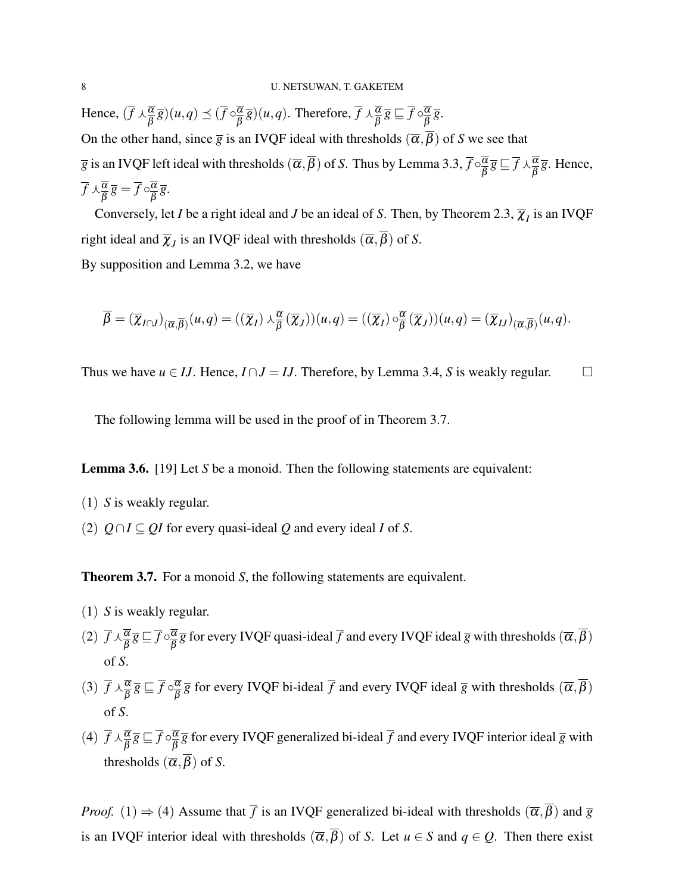Hence,  $(\overline{f} \wedge \frac{\overline{\alpha}}{\beta} \overline{g})(u,q) \preceq (\overline{f} \circ \frac{\overline{\alpha}}{\beta})$  $\frac{\overline{\alpha}}{\overline{\beta}}\overline{g}$   $(u,q)$ . Therefore,  $\overline{f} \wedge \frac{\overline{\alpha}}{\overline{\beta}}\overline{g} \sqsubseteq \overline{f} \circ \frac{\overline{\alpha}}{\overline{\beta}}$  $\frac{\alpha}{\beta}$   $\overline{g}$ . On the other hand, since  $\bar{g}$  is an IVQF ideal with thresholds  $(\bar{\alpha}, \bar{\beta})$  of *S* we see that  $\overline{g}$  is an IVQF left ideal with thresholds  $(\overline{\alpha},\overline{\beta})$  of *S*. Thus by Lemma [3.3,](#page-6-0)  $\overline{f} \circ \frac{\overline{\alpha}}{\beta}$  $\overline{\frac{\alpha}{\beta}}\overline{g} \sqsubseteq \overline{f} \wedge \frac{\overline{\alpha}}{\beta} \overline{g}$ . Hence,  $\overline{f} \wedge \frac{\overline{\alpha}}{\overline{\beta}} \overline{g} = \overline{f} \circ \frac{\overline{\alpha}}{\overline{\beta}}$  $\frac{\alpha}{\beta}$   $\overline{g}$ .

Conversely, let *I* be a right ideal and *J* be an ideal of *S*. Then, by Theorem [2.3,](#page-4-0)  $\overline{\chi}_I$  is an IVQF right ideal and  $\overline{\chi}_J$  is an IVQF ideal with thresholds  $(\overline{\alpha}, \beta)$  of *S*.

By supposition and Lemma [3.2,](#page-5-0) we have

$$
\overline{\beta} = (\overline{\chi}_{I \cap J})_{(\overline{\alpha}, \overline{\beta})}(u, q) = ((\overline{\chi}_I) \wedge \frac{\overline{\alpha}}{\beta}(\overline{\chi}_J))(u, q) = ((\overline{\chi}_I) \circ \frac{\overline{\alpha}}{\beta}(\overline{\chi}_J))(u, q) = (\overline{\chi}_{IJ})_{(\overline{\alpha}, \overline{\beta})}(u, q).
$$

Thus we have  $u \in IJ$ . Hence,  $I \cap J = IJ$ . Therefore, by Lemma [3.4,](#page-6-2) *S* is weakly regular.

The following lemma will be used in the proof of in Theorem [3.7.](#page-7-0)

<span id="page-7-1"></span>Lemma 3.6. [\[19\]](#page-11-3) Let *S* be a monoid. Then the following statements are equivalent:

- (1) *S* is weakly regular.
- (2)  $Q ∩ I ⊆ QI$  for every quasi-ideal  $Q$  and every ideal *I* of *S*.

<span id="page-7-0"></span>**Theorem 3.7.** For a monoid *S*, the following statements are equivalent.

- (1) *S* is weakly regular.
- (2)  $\overline{f} \wedge \frac{\overline{\alpha}}{\overline{\beta}} \overline{g} \sqsubseteq \overline{f} \circ \frac{\overline{\alpha}}{\overline{\beta}}$  $\frac{\alpha}{\beta}$  *g* for every IVQF quasi-ideal  $\overline{f}$  and every IVQF ideal  $\overline{g}$  with thresholds  $(\overline{\alpha},\beta)$ of *S*.
- (3)  $\overline{f} \wedge \frac{\overline{\alpha}}{\overline{\beta}} \overline{g} \sqsubseteq \overline{f} \circ \frac{\overline{\alpha}}{\overline{\beta}}$  $\frac{\alpha}{\beta}$  *g* for every IVQF bi-ideal  $\overline{f}$  and every IVQF ideal  $\overline{g}$  with thresholds  $(\overline{\alpha}, \beta)$ of *S*.
- (4)  $\overline{f} \wedge \frac{\overline{\alpha}}{\overline{\beta}} \overline{g} \sqsubseteq \overline{f} \circ \frac{\overline{\alpha}}{\overline{\beta}}$  $\frac{\alpha}{\beta} \overline{g}$  for every IVQF generalized bi-ideal  $\overline{f}$  and every IVQF interior ideal  $\overline{g}$  with thresholds  $(\overline{\alpha}, \overline{\beta})$  of *S*.

*Proof.* (1)  $\Rightarrow$  (4) Assume that  $\overline{f}$  is an IVQF generalized bi-ideal with thresholds  $(\overline{\alpha}, \overline{\beta})$  and  $\overline{g}$ is an IVQF interior ideal with thresholds  $(\overline{\alpha}, \overline{\beta})$  of *S*. Let  $u \in S$  and  $q \in Q$ . Then there exist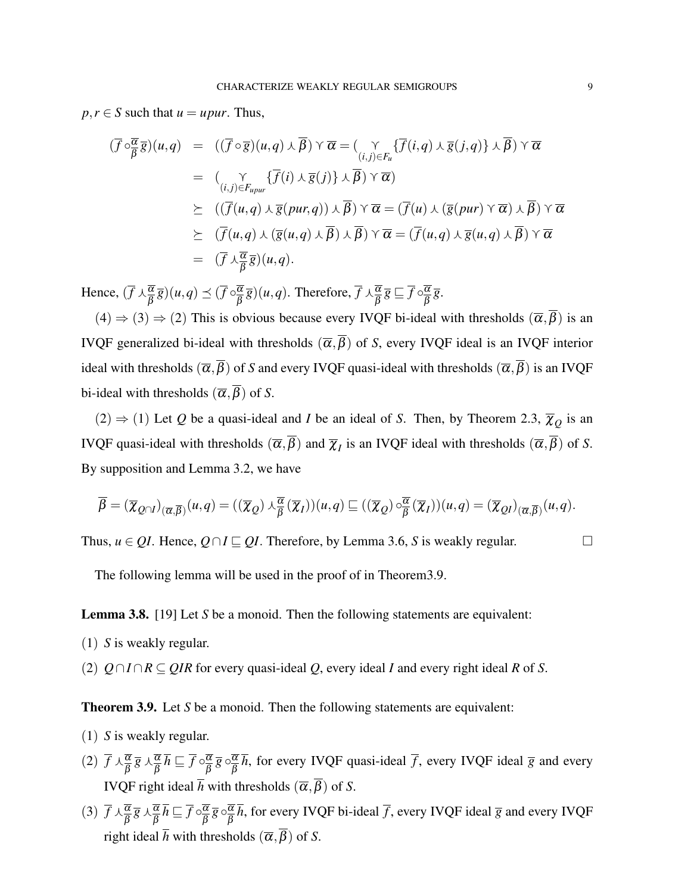$p, r \in S$  such that  $u = upur$ . Thus,

$$
(\overline{f} \circ \overline{\overline{\beta}} \overline{g})(u,q) = ((\overline{f} \circ \overline{g})(u,q) \vee \overline{\beta}) \vee \overline{\alpha} = (\underset{(i,j)\in F_u}{\gamma} {\{\overline{f}(i,q) \vee \overline{g}(j,q)\} \vee \overline{\beta}}) \vee \overline{\alpha}
$$
  
\n
$$
= (\underset{(i,j)\in F_{upur}}{\gamma} {\{\overline{f}(i) \vee \overline{g}(j)\} \vee \overline{\beta}}) \vee \overline{\alpha})
$$
  
\n
$$
\succeq ((\overline{f}(u,q) \vee \overline{g}(pur,q)) \vee \overline{\beta}) \vee \overline{\alpha} = (\overline{f}(u) \vee (\overline{g}(pur) \vee \overline{\alpha}) \vee \overline{\beta}) \vee \overline{\alpha}
$$
  
\n
$$
\succeq (\overline{f}(u,q) \vee (\overline{g}(u,q) \vee \overline{\beta}) \vee \overline{\beta}) \vee \overline{\alpha} = (\overline{f}(u,q) \vee \overline{g}(u,q) \vee \overline{\beta}) \vee \overline{\alpha}
$$
  
\n
$$
= (\overline{f} \vee \overline{\overline{\beta}} \overline{g})(u,q).
$$

Hence,  $(\overline{f} \wedge \frac{\overline{\alpha}}{\beta} \overline{g})(u,q) \preceq (\overline{f} \circ \frac{\overline{\alpha}}{\beta})$  $\frac{\overline{\alpha}}{\overline{\beta}}\overline{g}$   $(u,q)$ . Therefore,  $\overline{f} \wedge \frac{\overline{\alpha}}{\overline{\beta}}\overline{g} \sqsubseteq \overline{f} \circ \frac{\overline{\alpha}}{\overline{\beta}}$  $\frac{\alpha}{\beta}$   $\overline{g}$ .

 $(4) \Rightarrow (3) \Rightarrow (2)$  This is obvious because every IVQF bi-ideal with thresholds  $(\overline{\alpha}, \overline{\beta})$  is an IVQF generalized bi-ideal with thresholds  $(\overline{\alpha}, \overline{\beta})$  of *S*, every IVQF ideal is an IVQF interior ideal with thresholds  $(\overline{\alpha}, \overline{\beta})$  of *S* and every IVQF quasi-ideal with thresholds  $(\overline{\alpha}, \overline{\beta})$  is an IVQF bi-ideal with thresholds  $(\overline{\alpha}, \overline{\beta})$  of *S*.

 $(2) \Rightarrow (1)$  Let *Q* be a quasi-ideal and *I* be an ideal of *S*. Then, by Theorem [2.3,](#page-4-0)  $\overline{\chi}_Q$  is an IVQF quasi-ideal with thresholds  $(\overline{\alpha}, \beta)$  and  $\overline{\chi}_I$  is an IVQF ideal with thresholds  $(\overline{\alpha}, \beta)$  of *S*. By supposition and Lemma [3.2,](#page-5-0) we have

$$
\overline{\beta} = (\overline{\chi}_{Q\cap I})_{(\overline{\alpha},\overline{\beta})}(u,q) = ((\overline{\chi}_{Q}) \wedge \frac{\overline{\alpha}}{\beta}(\overline{\chi}_{I}))(u,q) \sqsubseteq ((\overline{\chi}_{Q}) \circ \frac{\overline{\alpha}}{\beta}(\overline{\chi}_{I}))(u,q) = (\overline{\chi}_{QI})_{(\overline{\alpha},\overline{\beta})}(u,q).
$$

Thus,  $u \in OL$ . Hence,  $O \cap I \subseteq OL$ . Therefore, by Lemma [3.6,](#page-7-1) *S* is weakly regular.

The following lemma will be used in the proof of in Theore[m3.9.](#page-8-0)

<span id="page-8-1"></span>Lemma 3.8. [\[19\]](#page-11-3) Let *S* be a monoid. Then the following statements are equivalent:

(1) *S* is weakly regular.

(2) *Q*∩*I* ∩*R* ⊆ *QIR* for every quasi-ideal *Q*, every ideal *I* and every right ideal *R* of *S*.

<span id="page-8-0"></span>**Theorem 3.9.** Let *S* be a monoid. Then the following statements are equivalent:

- (1) *S* is weakly regular.
- (2)  $\overline{f} \wedge \frac{\overline{\alpha}}{\overline{\beta}} \overline{g} \wedge \frac{\overline{\alpha}}{\overline{\beta}} \overline{h} \sqsubseteq \overline{f} \circ \frac{\overline{\alpha}}{\overline{\beta}}$  $\overline{\overline{\beta}}\ \overline{\overline{g}}\ \circ \overline{\overline{\beta}}\ \overline{\beta}$  $\frac{\alpha}{\beta}$ *h*, for every IVQF quasi-ideal  $\overline{f}$ , every IVQF ideal  $\overline{g}$  and every IVQF right ideal  $\overline{h}$  with thresholds  $(\overline{\alpha}, \overline{\beta})$  of *S*.
- (3)  $\overline{f} \wedge \frac{\overline{\alpha}}{\overline{\beta}} \overline{g} \wedge \frac{\overline{\alpha}}{\overline{\beta}} \overline{h} \sqsubseteq \overline{f} \circ \frac{\overline{\alpha}}{\overline{\beta}}$  $\overline{\overline{\beta}}\ \overline{\overline{g}}\circ \overline{\overline{\beta}}\ \overline{\beta}$  $\frac{\alpha}{\beta}$ *h*, for every IVQF bi-ideal  $\overline{f}$ , every IVQF ideal  $\overline{g}$  and every IVQF right ideal  $\overline{h}$  with thresholds  $(\overline{\alpha}, \overline{\beta})$  of *S*.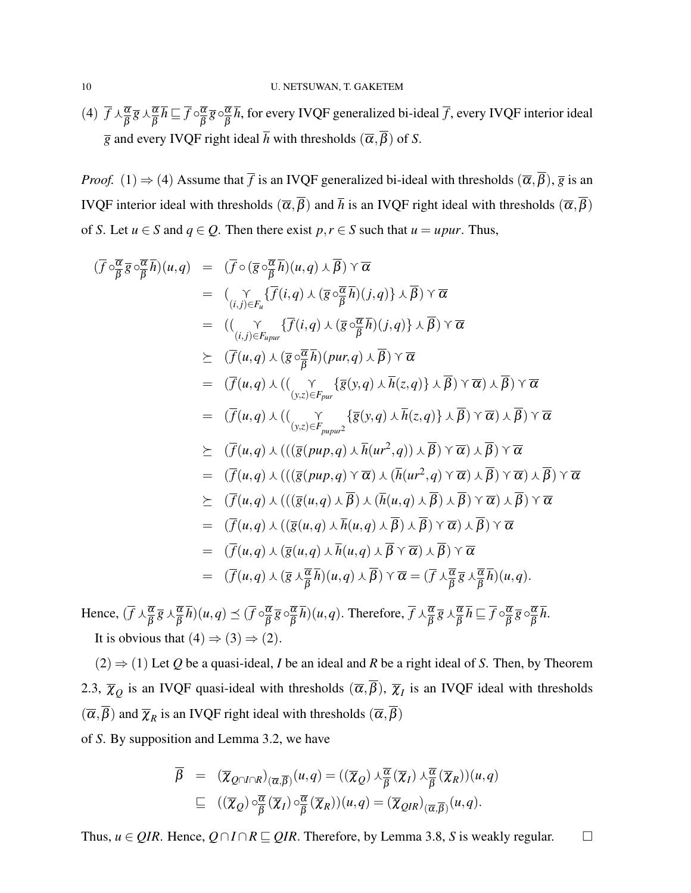(4)  $\overline{f} \wedge \frac{\overline{\alpha}}{\overline{\beta}} \overline{g} \wedge \frac{\overline{\alpha}}{\overline{\beta}} \overline{h} \sqsubseteq \overline{f} \circ \frac{\overline{\alpha}}{\overline{\beta}}$  $\overline{\frac{\alpha}{\beta}}\, \overline{g} \circ \overline{\frac{\alpha}{\beta}}$  $\frac{\alpha}{\beta}$ *h*, for every IVQF generalized bi-ideal *f* , every IVQF interior ideal  $\overline{g}$  and every IVQF right ideal  $\overline{h}$  with thresholds  $(\overline{\alpha}, \overline{\beta})$  of *S*.

*Proof.* (1)  $\Rightarrow$  (4) Assume that  $\overline{f}$  is an IVQF generalized bi-ideal with thresholds  $(\overline{\alpha}, \overline{\beta})$ ,  $\overline{g}$  is an IVQF interior ideal with thresholds  $(\overline{\alpha}, \overline{\beta})$  and  $\overline{h}$  is an IVQF right ideal with thresholds  $(\overline{\alpha}, \overline{\beta})$ of *S*. Let  $u \in S$  and  $q \in Q$ . Then there exist  $p, r \in S$  such that  $u = upur$ . Thus,

$$
(\overline{f} \circ_{\overline{\beta}}^{\overline{\alpha}} \overline{g} \circ_{\overline{\beta}}^{\overline{\alpha}} \overline{h})(u,q) = (\overline{f} \circ (\overline{g} \circ_{\overline{\beta}}^{\overline{\alpha}} \overline{h})(u,q) \wedge \overline{\beta}) \vee \overline{\alpha}
$$
  
\n
$$
= (\underset{(i,j) \in F_u}{\gamma} {\overline{f}(i,q) \wedge (\overline{g} \circ_{\overline{\beta}}^{\overline{\alpha}} \overline{h})(j,q)} \wedge \overline{\beta}) \vee \overline{\alpha}
$$
  
\n
$$
= ((\underset{(i,j) \in F_{upur}}{\gamma} {\overline{f}(i,q) \wedge (\overline{g} \circ_{\overline{\beta}}^{\overline{\alpha}} \overline{h})(j,q)} \wedge \overline{\beta}) \vee \overline{\alpha}
$$
  
\n
$$
\geq (\overline{f}(u,q) \wedge (\overline{g} \circ_{\overline{\beta}}^{\overline{\alpha}} \overline{h})(pur,q) \wedge \overline{\beta}) \vee \overline{\alpha}
$$
  
\n
$$
= (\overline{f}(u,q) \wedge ((\underset{(y,z) \in F_{upur}}{\gamma} {\overline{g}(y,q) \wedge \overline{h}(z,q)} \wedge \overline{\beta}) \vee \overline{\alpha}) \wedge \overline{\beta}) \vee \overline{\alpha}
$$
  
\n
$$
= (\overline{f}(u,q) \wedge ((\underset{(y,z) \in F_{upur}}{\gamma} {\overline{g}(y,q) \wedge \overline{h}(z,q)} \wedge \overline{\beta}) \vee \overline{\alpha}) \wedge \overline{\beta}) \vee \overline{\alpha}
$$
  
\n
$$
\geq (\overline{f}(u,q) \wedge (((\overline{g}(pup,q) \wedge \overline{h}(ur^2,q)) \wedge \overline{\beta}) \vee \overline{\alpha}) \wedge \overline{\beta}) \vee \overline{\alpha}
$$
  
\n
$$
= (\overline{f}(u,q) \wedge (((\overline{g}(pup,q) \wedge \overline{\alpha}) \wedge (\overline{h}(ur^2,q) \wedge \overline{\alpha}) \wedge \overline{\beta}) \vee \overline{\alpha})
$$
  
\n
$$
\geq (\overline{f}(u,q) \w
$$

Hence,  $(\overline{f} \wedge \frac{\overline{\alpha}}{\overline{\beta}} \overline{g} \wedge \frac{\overline{\alpha}}{\overline{\beta}} \overline{h})(u,q) \preceq (\overline{f} \circ \frac{\overline{\alpha}}{\overline{\beta}})$  $\overline{\overline{\beta}}\ \overline{\overline{g}}\circ \overline{\overline{\widetilde{\beta}}} \ \overline{\beta}$  $\frac{\overline{\alpha}}{\beta} \overline{h}$ ) $(u,q)$ . Therefore,  $\overline{f} \wedge \frac{\overline{\alpha}}{\beta} \overline{g} \wedge \frac{\overline{\alpha}}{\beta} \overline{h} \sqsubseteq \overline{f} \circ \frac{\overline{\alpha}}{\beta}$  $\overline{\overline{\beta}}\ \overline{\overline{g}}\ \circ \overline{\overline{\widetilde{\beta}}}$ β *h*. It is obvious that  $(4) \Rightarrow (3) \Rightarrow (2)$ .

 $(2) \Rightarrow (1)$  Let *Q* be a quasi-ideal, *I* be an ideal and *R* be a right ideal of *S*. Then, by Theorem [2.3,](#page-4-0)  $\overline{\chi}_Q$  is an IVQF quasi-ideal with thresholds  $(\overline{\alpha}, \beta)$ ,  $\overline{\chi}_I$  is an IVQF ideal with thresholds  $(\overline{\alpha}, \beta)$  and  $\overline{\chi}_R$  is an IVQF right ideal with thresholds  $(\overline{\alpha}, \beta)$ 

of *S*. By supposition and Lemma [3.2,](#page-5-0) we have

$$
\overline{\beta} = (\overline{\chi}_{Q \cap I \cap R})_{(\overline{\alpha}, \overline{\beta})}(u, q) = ((\overline{\chi}_{Q}) \wedge \frac{\overline{\alpha}}{\overline{\beta}} (\overline{\chi}_{I}) \wedge \frac{\overline{\alpha}}{\overline{\beta}} (\overline{\chi}_{R}))(u, q)
$$
  

$$
\subseteq ((\overline{\chi}_{Q}) \circ \frac{\overline{\alpha}}{\overline{\beta}} (\overline{\chi}_{I}) \circ \frac{\overline{\alpha}}{\overline{\beta}} (\overline{\chi}_{R}))(u, q) = (\overline{\chi}_{QIR})_{(\overline{\alpha}, \overline{\beta})}(u, q).
$$

Thus,  $u \in QIR$ . Hence,  $Q \cap I \cap R \sqsubseteq QIR$ . Therefore, by Lemma [3.8,](#page-8-1) *S* is weakly regular.  $□$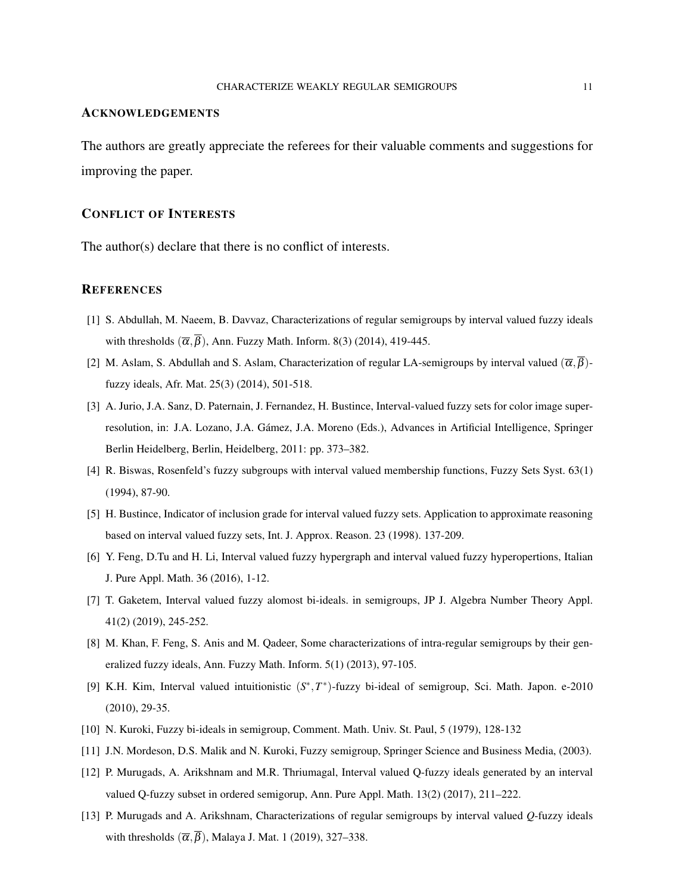### ACKNOWLEDGEMENTS

The authors are greatly appreciate the referees for their valuable comments and suggestions for improving the paper.

### CONFLICT OF INTERESTS

The author(s) declare that there is no conflict of interests.

#### **REFERENCES**

- <span id="page-10-4"></span>[1] S. Abdullah, M. Naeem, B. Davvaz, Characterizations of regular semigroups by interval valued fuzzy ideals with thresholds  $(\overline{\alpha}, \overline{\beta})$ , Ann. Fuzzy Math. Inform. 8(3) (2014), 419-445.
- [2] M. Aslam, S. Abdullah and S. Aslam, Characterization of regular LA-semigroups by interval valued ( $\overline{\alpha}$ ,  $\overline{\beta}$ )fuzzy ideals, Afr. Mat. 25(3) (2014), 501-518.
- <span id="page-10-1"></span>[3] A. Jurio, J.A. Sanz, D. Paternain, J. Fernandez, H. Bustince, Interval-valued fuzzy sets for color image superresolution, in: J.A. Lozano, J.A. Gamez, J.A. Moreno (Eds.), Advances in Artificial Intelligence, Springer ´ Berlin Heidelberg, Berlin, Heidelberg, 2011: pp. 373–382.
- <span id="page-10-2"></span>[4] R. Biswas, Rosenfeld's fuzzy subgroups with interval valued membership functions, Fuzzy Sets Syst. 63(1) (1994), 87-90.
- <span id="page-10-0"></span>[5] H. Bustince, Indicator of inclusion grade for interval valued fuzzy sets. Application to approximate reasoning based on interval valued fuzzy sets, Int. J. Approx. Reason. 23 (1998). 137-209.
- <span id="page-10-6"></span>[6] Y. Feng, D.Tu and H. Li, Interval valued fuzzy hypergraph and interval valued fuzzy hyperopertions, Italian J. Pure Appl. Math. 36 (2016), 1-12.
- [7] T. Gaketem, Interval valued fuzzy alomost bi-ideals. in semigroups, JP J. Algebra Number Theory Appl. 41(2) (2019), 245-252.
- [8] M. Khan, F. Feng, S. Anis and M. Qadeer, Some characterizations of intra-regular semigroups by their generalized fuzzy ideals, Ann. Fuzzy Math. Inform. 5(1) (2013), 97-105.
- [9] K.H. Kim, Interval valued intuitionistic (S<sup>\*</sup>, T<sup>\*</sup>)-fuzzy bi-ideal of semigroup, Sci. Math. Japon. e-2010 (2010), 29-35.
- [10] N. Kuroki, Fuzzy bi-ideals in semigroup, Comment. Math. Univ. St. Paul, 5 (1979), 128-132
- [11] J.N. Mordeson, D.S. Malik and N. Kuroki, Fuzzy semigroup, Springer Science and Business Media, (2003).
- <span id="page-10-3"></span>[12] P. Murugads, A. Arikshnam and M.R. Thriumagal, Interval valued Q-fuzzy ideals generated by an interval valued Q-fuzzy subset in ordered semigorup, Ann. Pure Appl. Math. 13(2) (2017), 211–222.
- <span id="page-10-5"></span>[13] P. Murugads and A. Arikshnam, Characterizations of regular semigroups by interval valued *Q*-fuzzy ideals with thresholds  $(\overline{\alpha}, \overline{\beta})$ , Malaya J. Mat. 1 (2019), 327–338.